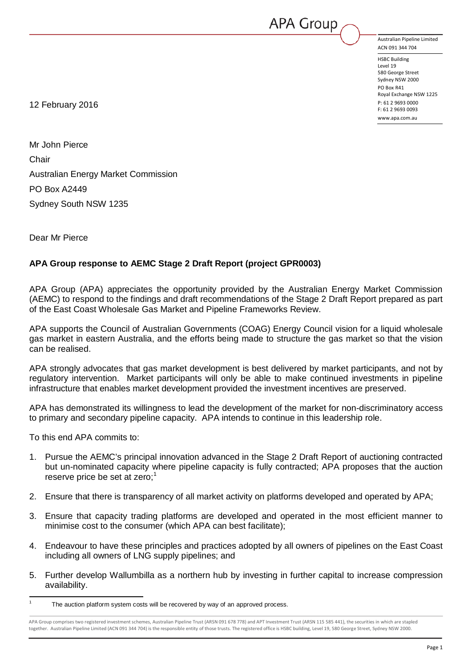**APA Group** 

Australian Pipeline Limited ACN 091 344 704

HSBC Building Level 19 580 George Street Sydney NSW 2000 PO Box R41 Royal Exchange NSW 1225 P: 61 2 9693 0000 F: 61 2 9693 0093 www.apa.com.au

12 February 2016

Mr John Pierce **Chair** Australian Energy Market Commission PO Box A2449 Sydney South NSW 1235

Dear Mr Pierce

### **APA Group response to AEMC Stage 2 Draft Report (project GPR0003)**

APA Group (APA) appreciates the opportunity provided by the Australian Energy Market Commission (AEMC) to respond to the findings and draft recommendations of the Stage 2 Draft Report prepared as part of the East Coast Wholesale Gas Market and Pipeline Frameworks Review.

APA supports the Council of Australian Governments (COAG) Energy Council vision for a liquid wholesale gas market in eastern Australia, and the efforts being made to structure the gas market so that the vision can be realised.

APA strongly advocates that gas market development is best delivered by market participants, and not by regulatory intervention. Market participants will only be able to make continued investments in pipeline infrastructure that enables market development provided the investment incentives are preserved.

APA has demonstrated its willingness to lead the development of the market for non-discriminatory access to primary and secondary pipeline capacity. APA intends to continue in this leadership role.

To this end APA commits to:

- 1. Pursue the AEMC's principal innovation advanced in the Stage 2 Draft Report of auctioning contracted but un-nominated capacity where pipeline capacity is fully contracted; APA proposes that the auction reserve price be set at zero; $<sup>1</sup>$  $<sup>1</sup>$  $<sup>1</sup>$ </sup>
- 2. Ensure that there is transparency of all market activity on platforms developed and operated by APA;
- 3. Ensure that capacity trading platforms are developed and operated in the most efficient manner to minimise cost to the consumer (which APA can best facilitate);
- 4. Endeavour to have these principles and practices adopted by all owners of pipelines on the East Coast including all owners of LNG supply pipelines; and
- 5. Further develop Wallumbilla as a northern hub by investing in further capital to increase compression availability.

<span id="page-0-0"></span> $1 - 1$  The auction platform system costs will be recovered by way of an approved process.

APA Group comprises two registered investment schemes, Australian Pipeline Trust (ARSN 091 678 778) and APT Investment Trust (ARSN 115 585 441), the securities in which are stapled together. Australian Pipeline Limited (ACN 091 344 704) is the responsible entity of those trusts. The registered office is HSBC building, Level 19, 580 George Street, Sydney NSW 2000.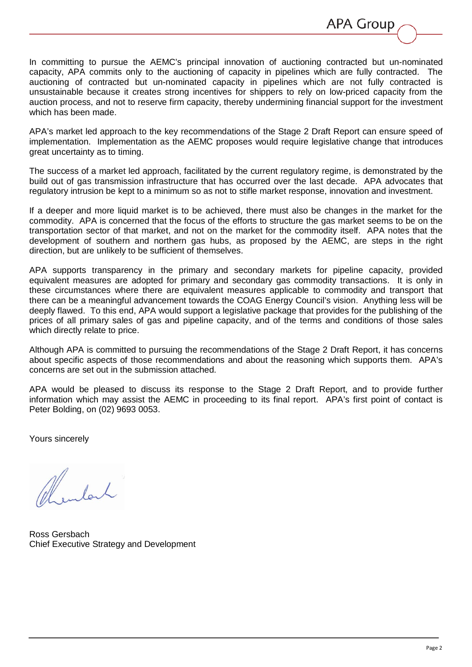In committing to pursue the AEMC's principal innovation of auctioning contracted but un-nominated capacity, APA commits only to the auctioning of capacity in pipelines which are fully contracted. The auctioning of contracted but un-nominated capacity in pipelines which are not fully contracted is unsustainable because it creates strong incentives for shippers to rely on low-priced capacity from the auction process, and not to reserve firm capacity, thereby undermining financial support for the investment which has been made.

**APA Group** 

APA's market led approach to the key recommendations of the Stage 2 Draft Report can ensure speed of implementation. Implementation as the AEMC proposes would require legislative change that introduces great uncertainty as to timing.

The success of a market led approach, facilitated by the current regulatory regime, is demonstrated by the build out of gas transmission infrastructure that has occurred over the last decade. APA advocates that regulatory intrusion be kept to a minimum so as not to stifle market response, innovation and investment.

If a deeper and more liquid market is to be achieved, there must also be changes in the market for the commodity. APA is concerned that the focus of the efforts to structure the gas market seems to be on the transportation sector of that market, and not on the market for the commodity itself. APA notes that the development of southern and northern gas hubs, as proposed by the AEMC, are steps in the right direction, but are unlikely to be sufficient of themselves.

APA supports transparency in the primary and secondary markets for pipeline capacity, provided equivalent measures are adopted for primary and secondary gas commodity transactions. It is only in these circumstances where there are equivalent measures applicable to commodity and transport that there can be a meaningful advancement towards the COAG Energy Council's vision. Anything less will be deeply flawed. To this end, APA would support a legislative package that provides for the publishing of the prices of all primary sales of gas and pipeline capacity, and of the terms and conditions of those sales which directly relate to price.

Although APA is committed to pursuing the recommendations of the Stage 2 Draft Report, it has concerns about specific aspects of those recommendations and about the reasoning which supports them. APA's concerns are set out in the submission attached.

APA would be pleased to discuss its response to the Stage 2 Draft Report, and to provide further information which may assist the AEMC in proceeding to its final report. APA's first point of contact is Peter Bolding, on (02) 9693 0053.

Yours sincerely

Mendant

Ross Gersbach Chief Executive Strategy and Development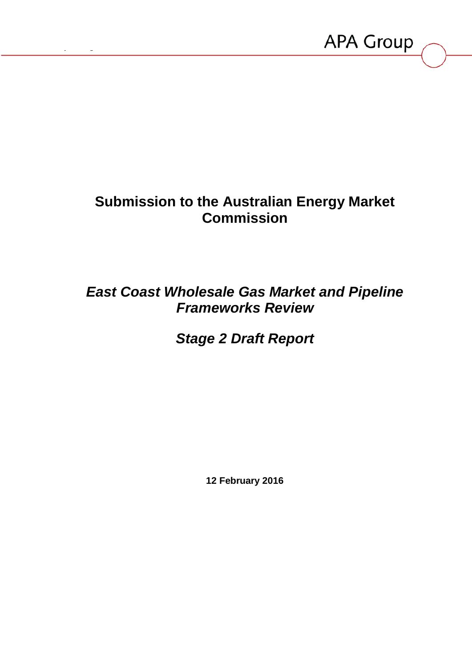# **Submission to the Australian Energy Market Commission**

# *East Coast Wholesale Gas Market and Pipeline Frameworks Review*

*Stage 2 Draft Report*

<span id="page-2-0"></span>**12 February 2016**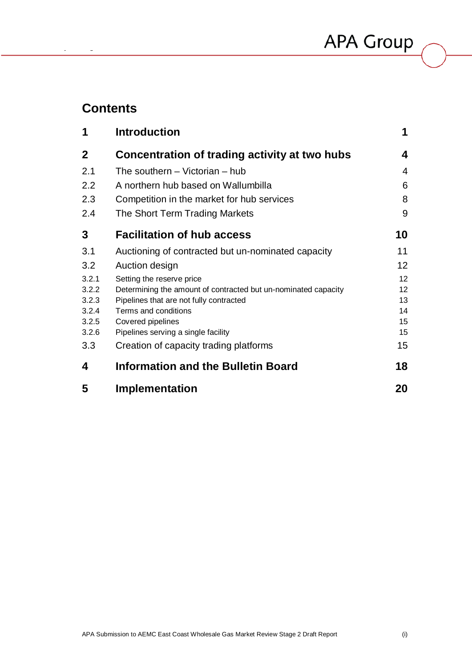## **Contents**

| 1            | <b>Introduction</b>                                            | 1               |
|--------------|----------------------------------------------------------------|-----------------|
| $\mathbf{2}$ | Concentration of trading activity at two hubs                  | 4               |
| 2.1          | The southern $-$ Victorian $-$ hub                             | 4               |
| 2.2          | A northern hub based on Wallumbilla                            | 6               |
| 2.3          | Competition in the market for hub services                     | 8               |
| 2.4          | The Short Term Trading Markets                                 | 9               |
| 3            | <b>Facilitation of hub access</b>                              | 10              |
| 3.1          | Auctioning of contracted but un-nominated capacity             | 11              |
| 3.2          | Auction design                                                 | 12 <sup>2</sup> |
| 3.2.1        | Setting the reserve price                                      | 12 <sup>°</sup> |
| 3.2.2        | Determining the amount of contracted but un-nominated capacity | 12 <sup>2</sup> |
| 3.2.3        | Pipelines that are not fully contracted                        | 13              |
| 3.2.4        | Terms and conditions                                           | 14              |
| 3.2.5        | Covered pipelines                                              | 15              |
| 3.2.6        | Pipelines serving a single facility                            | 15              |
| 3.3          | Creation of capacity trading platforms                         | 15              |
| 4            | <b>Information and the Bulletin Board</b>                      | 18              |
| 5            | Implementation                                                 | 20              |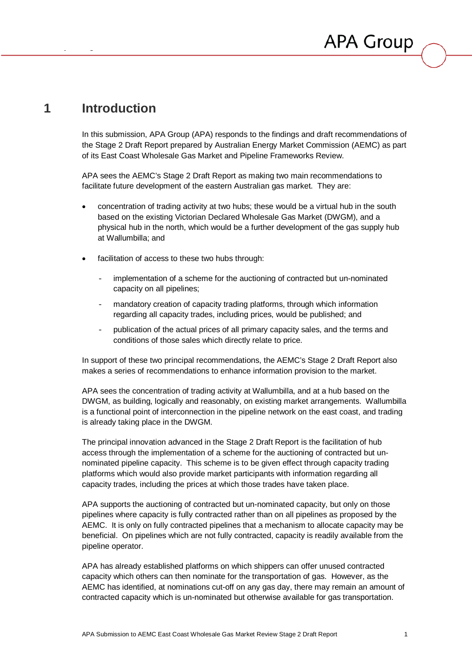## **1 Introduction**

In this submission, APA Group (APA) responds to the findings and draft recommendations of the Stage 2 Draft Report prepared by Australian Energy Market Commission (AEMC) as part of its East Coast Wholesale Gas Market and Pipeline Frameworks Review.

APA sees the AEMC's Stage 2 Draft Report as making two main recommendations to facilitate future development of the eastern Australian gas market. They are:

- concentration of trading activity at two hubs; these would be a virtual hub in the south based on the existing Victorian Declared Wholesale Gas Market (DWGM), and a physical hub in the north, which would be a further development of the gas supply hub at Wallumbilla; and
- facilitation of access to these two hubs through:
	- implementation of a scheme for the auctioning of contracted but un-nominated capacity on all pipelines;
	- mandatory creation of capacity trading platforms, through which information regarding all capacity trades, including prices, would be published; and
	- publication of the actual prices of all primary capacity sales, and the terms and conditions of those sales which directly relate to price.

In support of these two principal recommendations, the AEMC's Stage 2 Draft Report also makes a series of recommendations to enhance information provision to the market.

APA sees the concentration of trading activity at Wallumbilla, and at a hub based on the DWGM, as building, logically and reasonably, on existing market arrangements. Wallumbilla is a functional point of interconnection in the pipeline network on the east coast, and trading is already taking place in the DWGM.

The principal innovation advanced in the Stage 2 Draft Report is the facilitation of hub access through the implementation of a scheme for the auctioning of contracted but unnominated pipeline capacity. This scheme is to be given effect through capacity trading platforms which would also provide market participants with information regarding all capacity trades, including the prices at which those trades have taken place.

APA supports the auctioning of contracted but un-nominated capacity, but only on those pipelines where capacity is fully contracted rather than on all pipelines as proposed by the AEMC. It is only on fully contracted pipelines that a mechanism to allocate capacity may be beneficial. On pipelines which are not fully contracted, capacity is readily available from the pipeline operator.

APA has already established platforms on which shippers can offer unused contracted capacity which others can then nominate for the transportation of gas. However, as the AEMC has identified, at nominations cut-off on any gas day, there may remain an amount of contracted capacity which is un-nominated but otherwise available for gas transportation.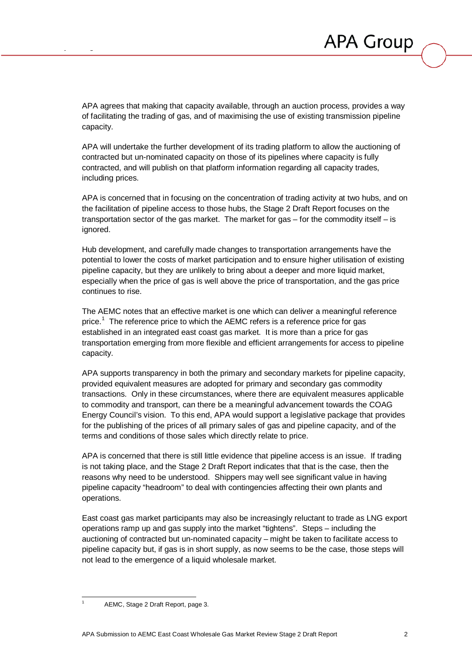APA agrees that making that capacity available, through an auction process, provides a way of facilitating the trading of gas, and of maximising the use of existing transmission pipeline capacity.

APA will undertake the further development of its trading platform to allow the auctioning of contracted but un-nominated capacity on those of its pipelines where capacity is fully contracted, and will publish on that platform information regarding all capacity trades, including prices.

APA is concerned that in focusing on the concentration of trading activity at two hubs, and on the facilitation of pipeline access to those hubs, the Stage 2 Draft Report focuses on the transportation sector of the gas market. The market for gas – for the commodity itself – is ignored.

Hub development, and carefully made changes to transportation arrangements have the potential to lower the costs of market participation and to ensure higher utilisation of existing pipeline capacity, but they are unlikely to bring about a deeper and more liquid market, especially when the price of gas is well above the price of transportation, and the gas price continues to rise.

The AEMC notes that an effective market is one which can deliver a meaningful reference price.<sup>[1](#page-2-0)</sup> The reference price to which the AEMC refers is a reference price for gas established in an integrated east coast gas market. It is more than a price for gas transportation emerging from more flexible and efficient arrangements for access to pipeline capacity.

APA supports transparency in both the primary and secondary markets for pipeline capacity, provided equivalent measures are adopted for primary and secondary gas commodity transactions. Only in these circumstances, where there are equivalent measures applicable to commodity and transport, can there be a meaningful advancement towards the COAG Energy Council's vision. To this end, APA would support a legislative package that provides for the publishing of the prices of all primary sales of gas and pipeline capacity, and of the terms and conditions of those sales which directly relate to price.

APA is concerned that there is still little evidence that pipeline access is an issue. If trading is not taking place, and the Stage 2 Draft Report indicates that that is the case, then the reasons why need to be understood. Shippers may well see significant value in having pipeline capacity "headroom" to deal with contingencies affecting their own plants and operations.

East coast gas market participants may also be increasingly reluctant to trade as LNG export operations ramp up and gas supply into the market "tightens". Steps – including the auctioning of contracted but un-nominated capacity – might be taken to facilitate access to pipeline capacity but, if gas is in short supply, as now seems to be the case, those steps will not lead to the emergence of a liquid wholesale market.

<span id="page-5-0"></span>

 <sup>1</sup> AEMC, Stage 2 Draft Report, page 3.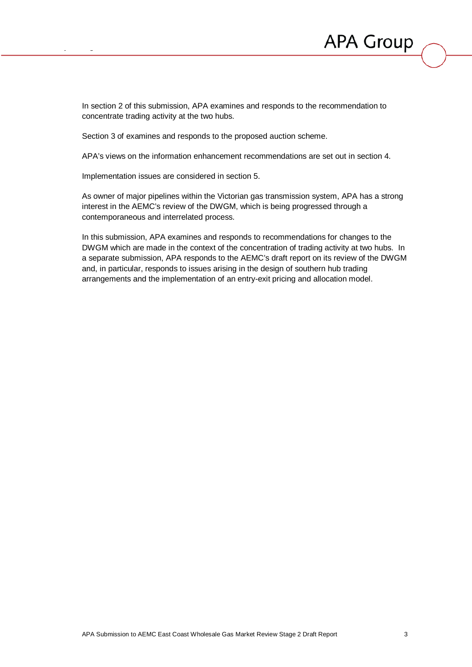In section [2](#page-7-0) of this submission, APA examines and responds to the recommendation to concentrate trading activity at the two hubs.

Sectio[n 3](#page-13-0) of examines and responds to the proposed auction scheme.

APA's views on the information enhancement recommendations are set out in section [4.](#page-21-0)

Implementation issues are considered in sectio[n 5.](#page-23-0)

As owner of major pipelines within the Victorian gas transmission system, APA has a strong interest in the AEMC's review of the DWGM, which is being progressed through a contemporaneous and interrelated process.

In this submission, APA examines and responds to recommendations for changes to the DWGM which are made in the context of the concentration of trading activity at two hubs. In a separate submission, APA responds to the AEMC's draft report on its review of the DWGM and, in particular, responds to issues arising in the design of southern hub trading arrangements and the implementation of an entry-exit pricing and allocation model.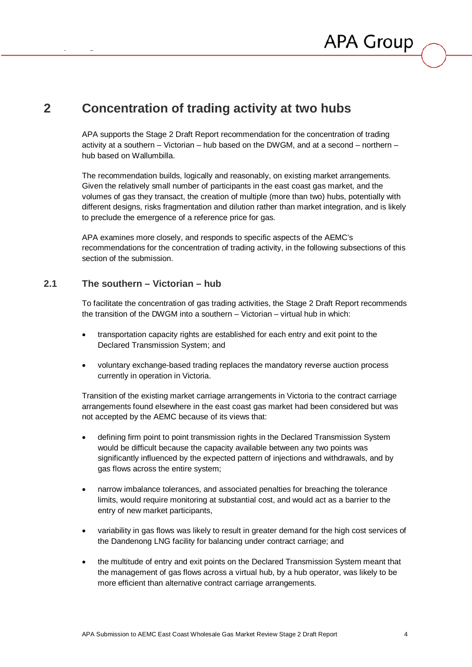## **2 Concentration of trading activity at two hubs**

<span id="page-7-0"></span>APA supports the Stage 2 Draft Report recommendation for the concentration of trading activity at a southern – Victorian – hub based on the DWGM, and at a second – northern – hub based on Wallumbilla.

The recommendation builds, logically and reasonably, on existing market arrangements. Given the relatively small number of participants in the east coast gas market, and the volumes of gas they transact, the creation of multiple (more than two) hubs, potentially with different designs, risks fragmentation and dilution rather than market integration, and is likely to preclude the emergence of a reference price for gas.

APA examines more closely, and responds to specific aspects of the AEMC's recommendations for the concentration of trading activity, in the following subsections of this section of the submission.

### **2.1 The southern – Victorian – hub**

To facilitate the concentration of gas trading activities, the Stage 2 Draft Report recommends the transition of the DWGM into a southern – Victorian – virtual hub in which:

- transportation capacity rights are established for each entry and exit point to the Declared Transmission System; and
- voluntary exchange-based trading replaces the mandatory reverse auction process currently in operation in Victoria.

Transition of the existing market carriage arrangements in Victoria to the contract carriage arrangements found elsewhere in the east coast gas market had been considered but was not accepted by the AEMC because of its views that:

- defining firm point to point transmission rights in the Declared Transmission System would be difficult because the capacity available between any two points was significantly influenced by the expected pattern of injections and withdrawals, and by gas flows across the entire system;
- narrow imbalance tolerances, and associated penalties for breaching the tolerance limits, would require monitoring at substantial cost, and would act as a barrier to the entry of new market participants,
- variability in gas flows was likely to result in greater demand for the high cost services of the Dandenong LNG facility for balancing under contract carriage; and
- the multitude of entry and exit points on the Declared Transmission System meant that the management of gas flows across a virtual hub, by a hub operator, was likely to be more efficient than alternative contract carriage arrangements.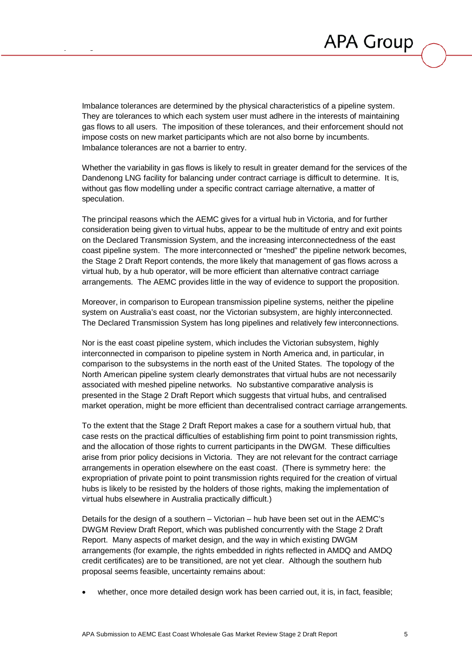Imbalance tolerances are determined by the physical characteristics of a pipeline system. They are tolerances to which each system user must adhere in the interests of maintaining gas flows to all users. The imposition of these tolerances, and their enforcement should not impose costs on new market participants which are not also borne by incumbents. Imbalance tolerances are not a barrier to entry.

Whether the variability in gas flows is likely to result in greater demand for the services of the Dandenong LNG facility for balancing under contract carriage is difficult to determine. It is, without gas flow modelling under a specific contract carriage alternative, a matter of speculation.

The principal reasons which the AEMC gives for a virtual hub in Victoria, and for further consideration being given to virtual hubs, appear to be the multitude of entry and exit points on the Declared Transmission System, and the increasing interconnectedness of the east coast pipeline system. The more interconnected or "meshed" the pipeline network becomes, the Stage 2 Draft Report contends, the more likely that management of gas flows across a virtual hub, by a hub operator, will be more efficient than alternative contract carriage arrangements. The AEMC provides little in the way of evidence to support the proposition.

Moreover, in comparison to European transmission pipeline systems, neither the pipeline system on Australia's east coast, nor the Victorian subsystem, are highly interconnected. The Declared Transmission System has long pipelines and relatively few interconnections.

Nor is the east coast pipeline system, which includes the Victorian subsystem, highly interconnected in comparison to pipeline system in North America and, in particular, in comparison to the subsystems in the north east of the United States. The topology of the North American pipeline system clearly demonstrates that virtual hubs are not necessarily associated with meshed pipeline networks. No substantive comparative analysis is presented in the Stage 2 Draft Report which suggests that virtual hubs, and centralised market operation, might be more efficient than decentralised contract carriage arrangements.

To the extent that the Stage 2 Draft Report makes a case for a southern virtual hub, that case rests on the practical difficulties of establishing firm point to point transmission rights, and the allocation of those rights to current participants in the DWGM. These difficulties arise from prior policy decisions in Victoria. They are not relevant for the contract carriage arrangements in operation elsewhere on the east coast. (There is symmetry here: the expropriation of private point to point transmission rights required for the creation of virtual hubs is likely to be resisted by the holders of those rights, making the implementation of virtual hubs elsewhere in Australia practically difficult.)

Details for the design of a southern – Victorian – hub have been set out in the AEMC's DWGM Review Draft Report, which was published concurrently with the Stage 2 Draft Report. Many aspects of market design, and the way in which existing DWGM arrangements (for example, the rights embedded in rights reflected in AMDQ and AMDQ credit certificates) are to be transitioned, are not yet clear. Although the southern hub proposal seems feasible, uncertainty remains about:

• whether, once more detailed design work has been carried out, it is, in fact, feasible;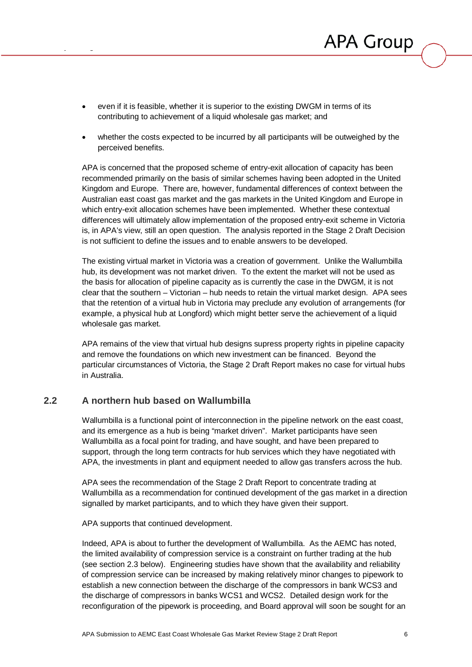- even if it is feasible, whether it is superior to the existing DWGM in terms of its contributing to achievement of a liquid wholesale gas market; and
- whether the costs expected to be incurred by all participants will be outweighed by the perceived benefits.

APA is concerned that the proposed scheme of entry-exit allocation of capacity has been recommended primarily on the basis of similar schemes having been adopted in the United Kingdom and Europe. There are, however, fundamental differences of context between the Australian east coast gas market and the gas markets in the United Kingdom and Europe in which entry-exit allocation schemes have been implemented. Whether these contextual differences will ultimately allow implementation of the proposed entry-exit scheme in Victoria is, in APA's view, still an open question. The analysis reported in the Stage 2 Draft Decision is not sufficient to define the issues and to enable answers to be developed.

The existing virtual market in Victoria was a creation of government. Unlike the Wallumbilla hub, its development was not market driven. To the extent the market will not be used as the basis for allocation of pipeline capacity as is currently the case in the DWGM, it is not clear that the southern – Victorian – hub needs to retain the virtual market design. APA sees that the retention of a virtual hub in Victoria may preclude any evolution of arrangements (for example, a physical hub at Longford) which might better serve the achievement of a liquid wholesale gas market.

APA remains of the view that virtual hub designs supress property rights in pipeline capacity and remove the foundations on which new investment can be financed. Beyond the particular circumstances of Victoria, the Stage 2 Draft Report makes no case for virtual hubs in Australia.

### **2.2 A northern hub based on Wallumbilla**

Wallumbilla is a functional point of interconnection in the pipeline network on the east coast, and its emergence as a hub is being "market driven". Market participants have seen Wallumbilla as a focal point for trading, and have sought, and have been prepared to support, through the long term contracts for hub services which they have negotiated with APA, the investments in plant and equipment needed to allow gas transfers across the hub.

APA sees the recommendation of the Stage 2 Draft Report to concentrate trading at Wallumbilla as a recommendation for continued development of the gas market in a direction signalled by market participants, and to which they have given their support.

APA supports that continued development.

Indeed, APA is about to further the development of Wallumbilla. As the AEMC has noted, the limited availability of compression service is a constraint on further trading at the hub (see section [2.3](#page-11-0) below). Engineering studies have shown that the availability and reliability of compression service can be increased by making relatively minor changes to pipework to establish a new connection between the discharge of the compressors in bank WCS3 and the discharge of compressors in banks WCS1 and WCS2. Detailed design work for the reconfiguration of the pipework is proceeding, and Board approval will soon be sought for an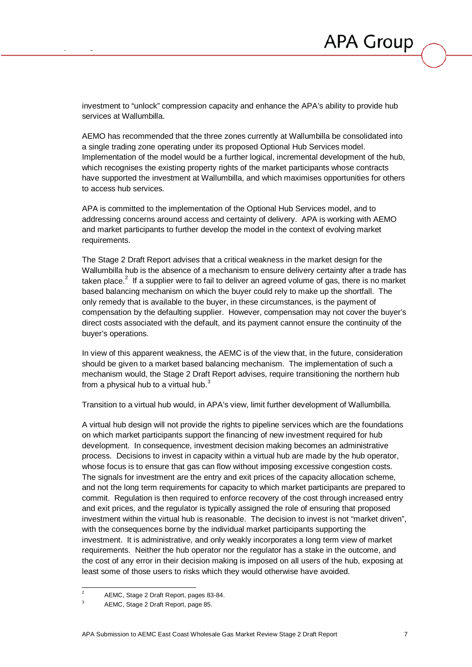investment to "unlock" compression capacity and enhance the APA's ability to provide hub services at Wallumbilla.

AEMO has recommended that the three zones currently at Wallumbilla be consolidated into a single trading zone operating under its proposed Optional Hub Services model. Implementation of the model would be a further logical, incremental development of the hub, which recognises the existing property rights of the market participants whose contracts have supported the investment at Wallumbilla, and which maximises opportunities for others to access hub services.

APA is committed to the implementation of the Optional Hub Services model, and to addressing concerns around access and certainty of delivery. APA is working with AEMO and market participants to further develop the model in the context of evolving market requirements.

The Stage 2 Draft Report advises that a critical weakness in the market design for the Wallumbilla hub is the absence of a mechanism to ensure delivery certainty after a trade has taken place. $^{2}$  $^{2}$  $^{2}$  If a supplier were to fail to deliver an agreed volume of gas, there is no market based balancing mechanism on which the buyer could rely to make up the shortfall. The only remedy that is available to the buyer, in these circumstances, is the payment of compensation by the defaulting supplier. However, compensation may not cover the buyer's direct costs associated with the default, and its payment cannot ensure the continuity of the buyer's operations.

In view of this apparent weakness, the AEMC is of the view that, in the future, consideration should be given to a market based balancing mechanism. The implementation of such a mechanism would, the Stage 2 Draft Report advises, require transitioning the northern hub from a physical hub to a virtual hub. $3$ 

Transition to a virtual hub would, in APA's view, limit further development of Wallumbilla.

A virtual hub design will not provide the rights to pipeline services which are the foundations on which market participants support the financing of new investment required for hub development. In consequence, investment decision making becomes an administrative process. Decisions to invest in capacity within a virtual hub are made by the hub operator, whose focus is to ensure that gas can flow without imposing excessive congestion costs. The signals for investment are the entry and exit prices of the capacity allocation scheme, and not the long term requirements for capacity to which market participants are prepared to commit. Regulation is then required to enforce recovery of the cost through increased entry and exit prices, and the regulator is typically assigned the role of ensuring that proposed investment within the virtual hub is reasonable. The decision to invest is not "market driven", with the consequences borne by the individual market participants supporting the investment. It is administrative, and only weakly incorporates a long term view of market requirements. Neither the hub operator nor the regulator has a stake in the outcome, and the cost of any error in their decision making is imposed on all users of the hub, exposing at least some of those users to risks which they would otherwise have avoided.

<sup>&</sup>lt;sup>2</sup> AEMC, Stage 2 Draft Report, pages 83-84.

<span id="page-10-0"></span><sup>3</sup> AEMC, Stage 2 Draft Report, page 85.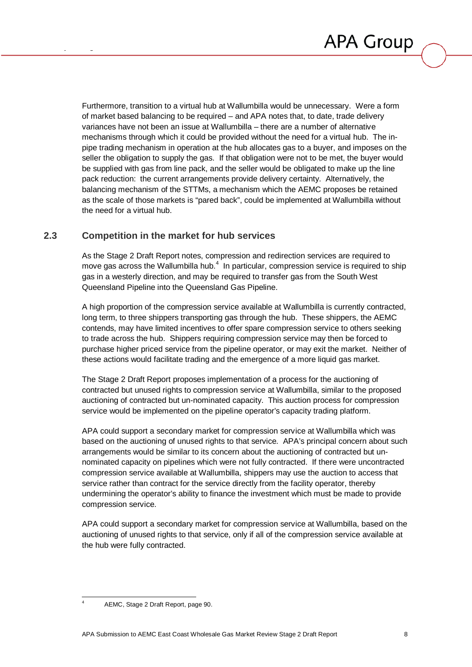Furthermore, transition to a virtual hub at Wallumbilla would be unnecessary. Were a form of market based balancing to be required – and APA notes that, to date, trade delivery variances have not been an issue at Wallumbilla – there are a number of alternative mechanisms through which it could be provided without the need for a virtual hub. The inpipe trading mechanism in operation at the hub allocates gas to a buyer, and imposes on the seller the obligation to supply the gas. If that obligation were not to be met, the buyer would be supplied with gas from line pack, and the seller would be obligated to make up the line pack reduction: the current arrangements provide delivery certainty. Alternatively, the balancing mechanism of the STTMs, a mechanism which the AEMC proposes be retained as the scale of those markets is "pared back", could be implemented at Wallumbilla without the need for a virtual hub.

### **2.3 Competition in the market for hub services**

<span id="page-11-0"></span>As the Stage 2 Draft Report notes, compression and redirection services are required to move gas across the Wallumbilla hub. $^4\,$  $^4\,$  $^4\,$  In particular, compression service is required to ship gas in a westerly direction, and may be required to transfer gas from the South West Queensland Pipeline into the Queensland Gas Pipeline.

A high proportion of the compression service available at Wallumbilla is currently contracted, long term, to three shippers transporting gas through the hub. These shippers, the AEMC contends, may have limited incentives to offer spare compression service to others seeking to trade across the hub. Shippers requiring compression service may then be forced to purchase higher priced service from the pipeline operator, or may exit the market. Neither of these actions would facilitate trading and the emergence of a more liquid gas market.

The Stage 2 Draft Report proposes implementation of a process for the auctioning of contracted but unused rights to compression service at Wallumbilla, similar to the proposed auctioning of contracted but un-nominated capacity. This auction process for compression service would be implemented on the pipeline operator's capacity trading platform.

APA could support a secondary market for compression service at Wallumbilla which was based on the auctioning of unused rights to that service. APA's principal concern about such arrangements would be similar to its concern about the auctioning of contracted but unnominated capacity on pipelines which were not fully contracted. If there were uncontracted compression service available at Wallumbilla, shippers may use the auction to access that service rather than contract for the service directly from the facility operator, thereby undermining the operator's ability to finance the investment which must be made to provide compression service.

APA could support a secondary market for compression service at Wallumbilla, based on the auctioning of unused rights to that service, only if all of the compression service available at the hub were fully contracted.

<span id="page-11-1"></span>

 <sup>4</sup> AEMC, Stage 2 Draft Report, page 90.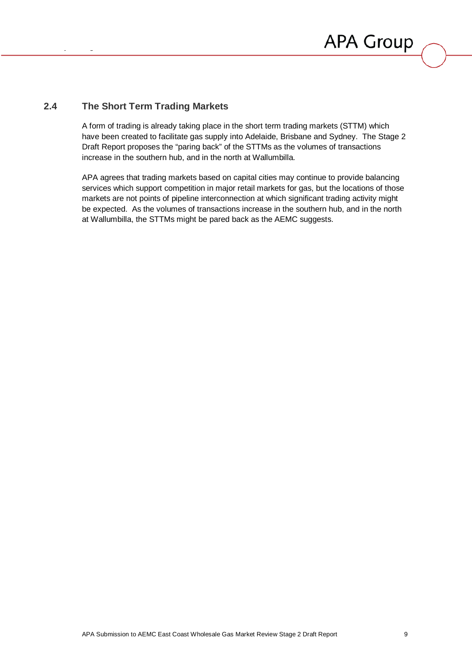### **2.4 The Short Term Trading Markets**

A form of trading is already taking place in the short term trading markets (STTM) which have been created to facilitate gas supply into Adelaide, Brisbane and Sydney. The Stage 2 Draft Report proposes the "paring back" of the STTMs as the volumes of transactions increase in the southern hub, and in the north at Wallumbilla.

APA agrees that trading markets based on capital cities may continue to provide balancing services which support competition in major retail markets for gas, but the locations of those markets are not points of pipeline interconnection at which significant trading activity might be expected. As the volumes of transactions increase in the southern hub, and in the north at Wallumbilla, the STTMs might be pared back as the AEMC suggests.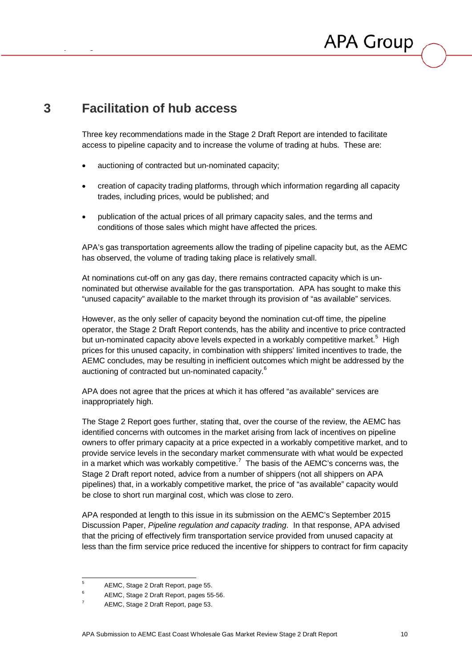## **3 Facilitation of hub access**

<span id="page-13-0"></span>Three key recommendations made in the Stage 2 Draft Report are intended to facilitate access to pipeline capacity and to increase the volume of trading at hubs. These are:

- auctioning of contracted but un-nominated capacity;
- creation of capacity trading platforms, through which information regarding all capacity trades, including prices, would be published; and
- publication of the actual prices of all primary capacity sales, and the terms and conditions of those sales which might have affected the prices.

APA's gas transportation agreements allow the trading of pipeline capacity but, as the AEMC has observed, the volume of trading taking place is relatively small.

At nominations cut-off on any gas day, there remains contracted capacity which is unnominated but otherwise available for the gas transportation. APA has sought to make this "unused capacity" available to the market through its provision of "as available" services.

However, as the only seller of capacity beyond the nomination cut-off time, the pipeline operator, the Stage 2 Draft Report contends, has the ability and incentive to price contracted but un-nominated capacity above levels expected in a workably competitive market.<sup>[5](#page-11-1)</sup> High prices for this unused capacity, in combination with shippers' limited incentives to trade, the AEMC concludes, may be resulting in inefficient outcomes which might be addressed by the auctioning of contracted but un-nominated capacity.<sup>[6](#page-13-1)</sup>

APA does not agree that the prices at which it has offered "as available" services are inappropriately high.

The Stage 2 Report goes further, stating that, over the course of the review, the AEMC has identified concerns with outcomes in the market arising from lack of incentives on pipeline owners to offer primary capacity at a price expected in a workably competitive market, and to provide service levels in the secondary market commensurate with what would be expected in a market which was workably competitive.<sup>[7](#page-13-2)</sup> The basis of the AEMC's concerns was, the Stage 2 Draft report noted, advice from a number of shippers (not all shippers on APA pipelines) that, in a workably competitive market, the price of "as available" capacity would be close to short run marginal cost, which was close to zero.

APA responded at length to this issue in its submission on the AEMC's September 2015 Discussion Paper, *Pipeline regulation and capacity trading*. In that response, APA advised that the pricing of effectively firm transportation service provided from unused capacity at less than the firm service price reduced the incentive for shippers to contract for firm capacity

 <sup>5</sup> AEMC, Stage 2 Draft Report, page 55.

<span id="page-13-1"></span> $6$  AEMC, Stage 2 Draft Report, pages 55-56.

<span id="page-13-2"></span><sup>7</sup> AEMC, Stage 2 Draft Report, page 53.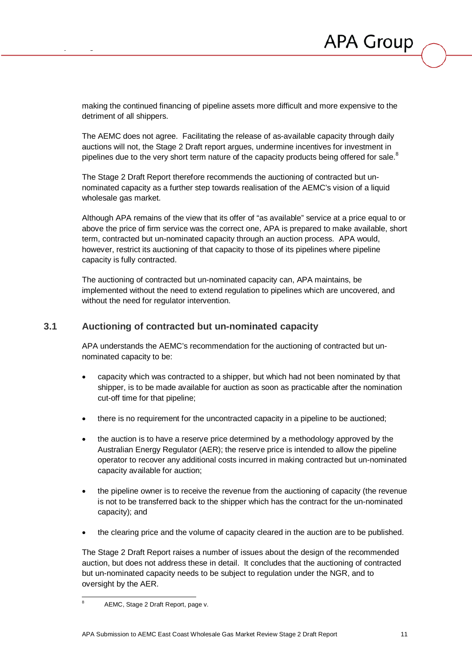making the continued financing of pipeline assets more difficult and more expensive to the detriment of all shippers.

The AEMC does not agree. Facilitating the release of as-available capacity through daily auctions will not, the Stage 2 Draft report argues, undermine incentives for investment in pipelines due to the very short term nature of the capacity products being offered for sale.<sup>[8](#page-13-2)</sup>

The Stage 2 Draft Report therefore recommends the auctioning of contracted but unnominated capacity as a further step towards realisation of the AEMC's vision of a liquid wholesale gas market.

Although APA remains of the view that its offer of "as available" service at a price equal to or above the price of firm service was the correct one, APA is prepared to make available, short term, contracted but un-nominated capacity through an auction process. APA would, however, restrict its auctioning of that capacity to those of its pipelines where pipeline capacity is fully contracted.

The auctioning of contracted but un-nominated capacity can, APA maintains, be implemented without the need to extend regulation to pipelines which are uncovered, and without the need for regulator intervention.

#### **3.1 Auctioning of contracted but un-nominated capacity**

APA understands the AEMC's recommendation for the auctioning of contracted but unnominated capacity to be:

- capacity which was contracted to a shipper, but which had not been nominated by that shipper, is to be made available for auction as soon as practicable after the nomination cut-off time for that pipeline;
- there is no requirement for the uncontracted capacity in a pipeline to be auctioned;
- the auction is to have a reserve price determined by a methodology approved by the Australian Energy Regulator (AER); the reserve price is intended to allow the pipeline operator to recover any additional costs incurred in making contracted but un-nominated capacity available for auction;
- the pipeline owner is to receive the revenue from the auctioning of capacity (the revenue is not to be transferred back to the shipper which has the contract for the un-nominated capacity); and
- the clearing price and the volume of capacity cleared in the auction are to be published.

The Stage 2 Draft Report raises a number of issues about the design of the recommended auction, but does not address these in detail. It concludes that the auctioning of contracted but un-nominated capacity needs to be subject to regulation under the NGR, and to oversight by the AER.

APA Submission to AEMC East Coast Wholesale Gas Market Review Stage 2 Draft Report 11

<span id="page-14-0"></span>

<sup>&</sup>lt;sup>8</sup> AEMC, Stage 2 Draft Report, page v.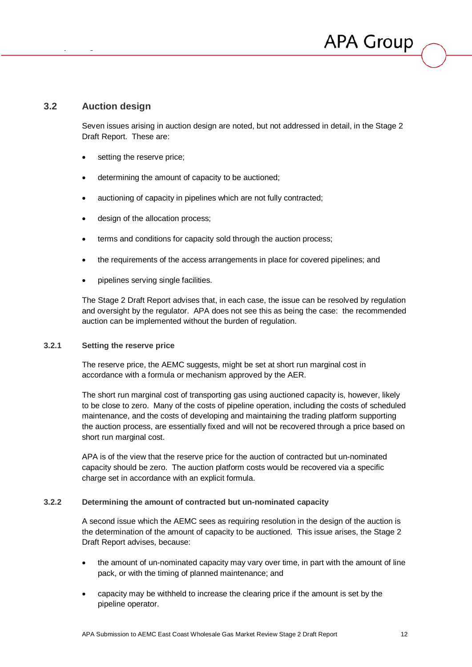## **3.2 Auction design**

Seven issues arising in auction design are noted, but not addressed in detail, in the Stage 2 Draft Report. These are:

- setting the reserve price;
- determining the amount of capacity to be auctioned;
- auctioning of capacity in pipelines which are not fully contracted;
- design of the allocation process;
- terms and conditions for capacity sold through the auction process;
- the requirements of the access arrangements in place for covered pipelines; and
- pipelines serving single facilities.

The Stage 2 Draft Report advises that, in each case, the issue can be resolved by regulation and oversight by the regulator. APA does not see this as being the case: the recommended auction can be implemented without the burden of regulation.

## **3.2.1 Setting the reserve price**

The reserve price, the AEMC suggests, might be set at short run marginal cost in accordance with a formula or mechanism approved by the AER.

The short run marginal cost of transporting gas using auctioned capacity is, however, likely to be close to zero. Many of the costs of pipeline operation, including the costs of scheduled maintenance, and the costs of developing and maintaining the trading platform supporting the auction process, are essentially fixed and will not be recovered through a price based on short run marginal cost.

APA is of the view that the reserve price for the auction of contracted but un-nominated capacity should be zero. The auction platform costs would be recovered via a specific charge set in accordance with an explicit formula.

## **3.2.2 Determining the amount of contracted but un-nominated capacity**

A second issue which the AEMC sees as requiring resolution in the design of the auction is the determination of the amount of capacity to be auctioned. This issue arises, the Stage 2 Draft Report advises, because:

- the amount of un-nominated capacity may vary over time, in part with the amount of line pack, or with the timing of planned maintenance; and
- capacity may be withheld to increase the clearing price if the amount is set by the pipeline operator.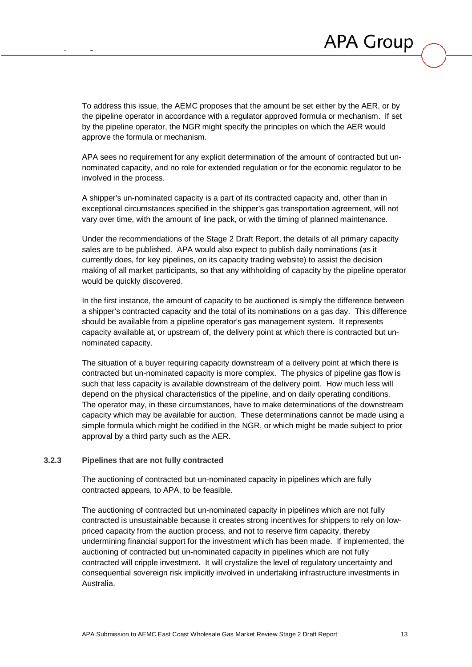To address this issue, the AEMC proposes that the amount be set either by the AER, or by the pipeline operator in accordance with a regulator approved formula or mechanism. If set by the pipeline operator, the NGR might specify the principles on which the AER would approve the formula or mechanism.

APA sees no requirement for any explicit determination of the amount of contracted but unnominated capacity, and no role for extended regulation or for the economic regulator to be involved in the process.

A shipper's un-nominated capacity is a part of its contracted capacity and, other than in exceptional circumstances specified in the shipper's gas transportation agreement, will not vary over time, with the amount of line pack, or with the timing of planned maintenance.

Under the recommendations of the Stage 2 Draft Report, the details of all primary capacity sales are to be published. APA would also expect to publish daily nominations (as it currently does, for key pipelines, on its capacity trading website) to assist the decision making of all market participants, so that any withholding of capacity by the pipeline operator would be quickly discovered.

In the first instance, the amount of capacity to be auctioned is simply the difference between a shipper's contracted capacity and the total of its nominations on a gas day. This difference should be available from a pipeline operator's gas management system. It represents capacity available at, or upstream of, the delivery point at which there is contracted but unnominated capacity.

The situation of a buyer requiring capacity downstream of a delivery point at which there is contracted but un-nominated capacity is more complex. The physics of pipeline gas flow is such that less capacity is available downstream of the delivery point. How much less will depend on the physical characteristics of the pipeline, and on daily operating conditions. The operator may, in these circumstances, have to make determinations of the downstream capacity which may be available for auction. These determinations cannot be made using a simple formula which might be codified in the NGR, or which might be made subject to prior approval by a third party such as the AER.

#### **3.2.3 Pipelines that are not fully contracted**

The auctioning of contracted but un-nominated capacity in pipelines which are fully contracted appears, to APA, to be feasible.

The auctioning of contracted but un-nominated capacity in pipelines which are not fully contracted is unsustainable because it creates strong incentives for shippers to rely on lowpriced capacity from the auction process, and not to reserve firm capacity, thereby undermining financial support for the investment which has been made. If implemented, the auctioning of contracted but un-nominated capacity in pipelines which are not fully contracted will cripple investment. It will crystalize the level of regulatory uncertainty and consequential sovereign risk implicitly involved in undertaking infrastructure investments in Australia.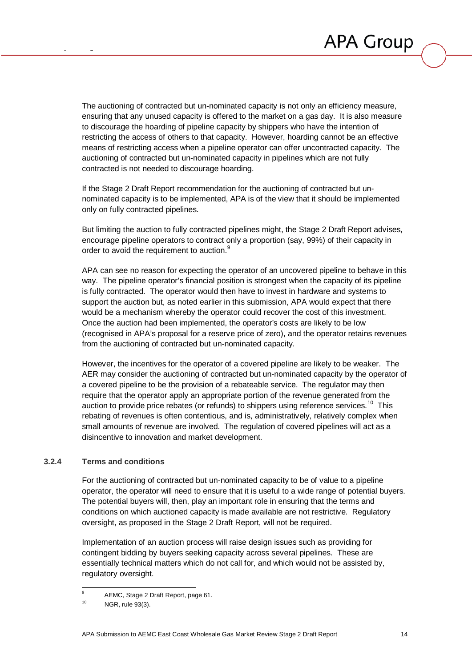The auctioning of contracted but un-nominated capacity is not only an efficiency measure, ensuring that any unused capacity is offered to the market on a gas day. It is also measure to discourage the hoarding of pipeline capacity by shippers who have the intention of restricting the access of others to that capacity. However, hoarding cannot be an effective means of restricting access when a pipeline operator can offer uncontracted capacity. The auctioning of contracted but un-nominated capacity in pipelines which are not fully contracted is not needed to discourage hoarding.

If the Stage 2 Draft Report recommendation for the auctioning of contracted but unnominated capacity is to be implemented, APA is of the view that it should be implemented only on fully contracted pipelines.

But limiting the auction to fully contracted pipelines might, the Stage 2 Draft Report advises, encourage pipeline operators to contract only a proportion (say, 99%) of their capacity in order to avoid the requirement to auction.<sup>[9](#page-14-0)</sup>

APA can see no reason for expecting the operator of an uncovered pipeline to behave in this way. The pipeline operator's financial position is strongest when the capacity of its pipeline is fully contracted. The operator would then have to invest in hardware and systems to support the auction but, as noted earlier in this submission, APA would expect that there would be a mechanism whereby the operator could recover the cost of this investment. Once the auction had been implemented, the operator's costs are likely to be low (recognised in APA's proposal for a reserve price of zero), and the operator retains revenues from the auctioning of contracted but un-nominated capacity.

However, the incentives for the operator of a covered pipeline are likely to be weaker. The AER may consider the auctioning of contracted but un-nominated capacity by the operator of a covered pipeline to be the provision of a rebateable service. The regulator may then require that the operator apply an appropriate portion of the revenue generated from the auction to provide price rebates (or refunds) to shippers using reference services.<sup>10</sup> This rebating of revenues is often contentious, and is, administratively, relatively complex when small amounts of revenue are involved. The regulation of covered pipelines will act as a disincentive to innovation and market development.

#### **3.2.4 Terms and conditions**

For the auctioning of contracted but un-nominated capacity to be of value to a pipeline operator, the operator will need to ensure that it is useful to a wide range of potential buyers. The potential buyers will, then, play an important role in ensuring that the terms and conditions on which auctioned capacity is made available are not restrictive. Regulatory oversight, as proposed in the Stage 2 Draft Report, will not be required.

Implementation of an auction process will raise design issues such as providing for contingent bidding by buyers seeking capacity across several pipelines. These are essentially technical matters which do not call for, and which would not be assisted by, regulatory oversight.

<span id="page-17-0"></span><sup>&</sup>lt;sup>9</sup> AEMC, Stage 2 Draft Report, page 61.

NGR, rule 93(3).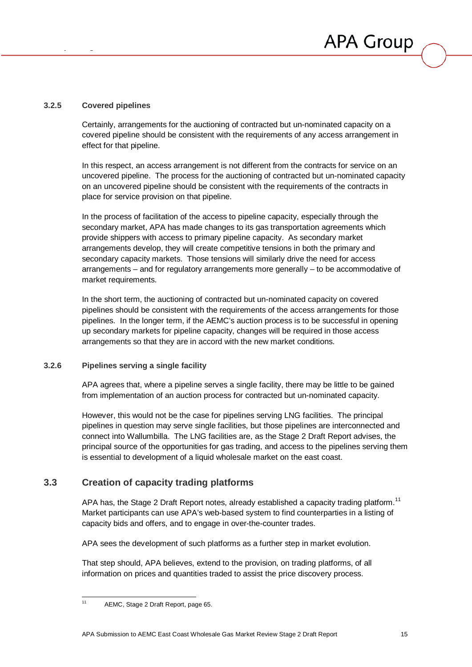#### **3.2.5 Covered pipelines**

Certainly, arrangements for the auctioning of contracted but un-nominated capacity on a covered pipeline should be consistent with the requirements of any access arrangement in effect for that pipeline.

In this respect, an access arrangement is not different from the contracts for service on an uncovered pipeline. The process for the auctioning of contracted but un-nominated capacity on an uncovered pipeline should be consistent with the requirements of the contracts in place for service provision on that pipeline.

In the process of facilitation of the access to pipeline capacity, especially through the secondary market, APA has made changes to its gas transportation agreements which provide shippers with access to primary pipeline capacity. As secondary market arrangements develop, they will create competitive tensions in both the primary and secondary capacity markets. Those tensions will similarly drive the need for access arrangements – and for regulatory arrangements more generally – to be accommodative of market requirements.

In the short term, the auctioning of contracted but un-nominated capacity on covered pipelines should be consistent with the requirements of the access arrangements for those pipelines. In the longer term, if the AEMC's auction process is to be successful in opening up secondary markets for pipeline capacity, changes will be required in those access arrangements so that they are in accord with the new market conditions.

#### **3.2.6 Pipelines serving a single facility**

APA agrees that, where a pipeline serves a single facility, there may be little to be gained from implementation of an auction process for contracted but un-nominated capacity.

However, this would not be the case for pipelines serving LNG facilities. The principal pipelines in question may serve single facilities, but those pipelines are interconnected and connect into Wallumbilla. The LNG facilities are, as the Stage 2 Draft Report advises, the principal source of the opportunities for gas trading, and access to the pipelines serving them is essential to development of a liquid wholesale market on the east coast.

### **3.3 Creation of capacity trading platforms**

APA has, the Stage 2 Draft Report notes, already established a capacity trading platform.<sup>11</sup> Market participants can use APA's web-based system to find counterparties in a listing of capacity bids and offers, and to engage in over-the-counter trades.

APA sees the development of such platforms as a further step in market evolution.

That step should, APA believes, extend to the provision, on trading platforms, of all information on prices and quantities traded to assist the price discovery process.

<span id="page-18-0"></span>

 <sup>11</sup> AEMC, Stage 2 Draft Report, page 65.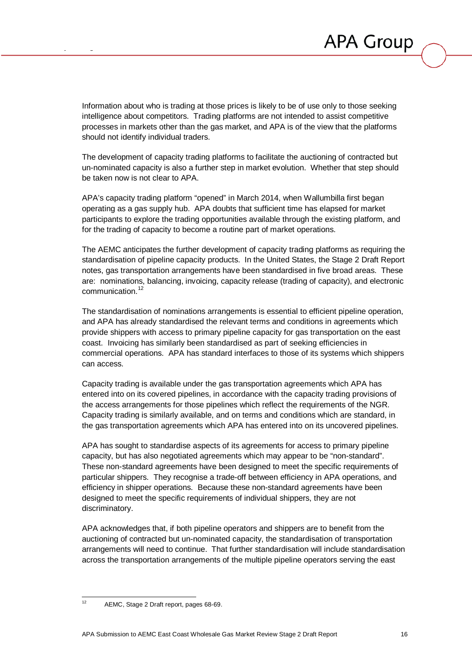Information about who is trading at those prices is likely to be of use only to those seeking intelligence about competitors. Trading platforms are not intended to assist competitive processes in markets other than the gas market, and APA is of the view that the platforms should not identify individual traders.

The development of capacity trading platforms to facilitate the auctioning of contracted but un-nominated capacity is also a further step in market evolution. Whether that step should be taken now is not clear to APA.

APA's capacity trading platform "opened" in March 2014, when Wallumbilla first began operating as a gas supply hub. APA doubts that sufficient time has elapsed for market participants to explore the trading opportunities available through the existing platform, and for the trading of capacity to become a routine part of market operations.

The AEMC anticipates the further development of capacity trading platforms as requiring the standardisation of pipeline capacity products. In the United States, the Stage 2 Draft Report notes, gas transportation arrangements have been standardised in five broad areas. These are: nominations, balancing, invoicing, capacity release (trading of capacity), and electronic communication.<sup>[12](#page-18-0)</sup>

The standardisation of nominations arrangements is essential to efficient pipeline operation, and APA has already standardised the relevant terms and conditions in agreements which provide shippers with access to primary pipeline capacity for gas transportation on the east coast. Invoicing has similarly been standardised as part of seeking efficiencies in commercial operations. APA has standard interfaces to those of its systems which shippers can access.

Capacity trading is available under the gas transportation agreements which APA has entered into on its covered pipelines, in accordance with the capacity trading provisions of the access arrangements for those pipelines which reflect the requirements of the NGR. Capacity trading is similarly available, and on terms and conditions which are standard, in the gas transportation agreements which APA has entered into on its uncovered pipelines.

APA has sought to standardise aspects of its agreements for access to primary pipeline capacity, but has also negotiated agreements which may appear to be "non-standard". These non-standard agreements have been designed to meet the specific requirements of particular shippers. They recognise a trade-off between efficiency in APA operations, and efficiency in shipper operations. Because these non-standard agreements have been designed to meet the specific requirements of individual shippers, they are not discriminatory.

APA acknowledges that, if both pipeline operators and shippers are to benefit from the auctioning of contracted but un-nominated capacity, the standardisation of transportation arrangements will need to continue. That further standardisation will include standardisation across the transportation arrangements of the multiple pipeline operators serving the east

<span id="page-19-0"></span> <sup>12</sup> AEMC, Stage 2 Draft report, pages 68-69.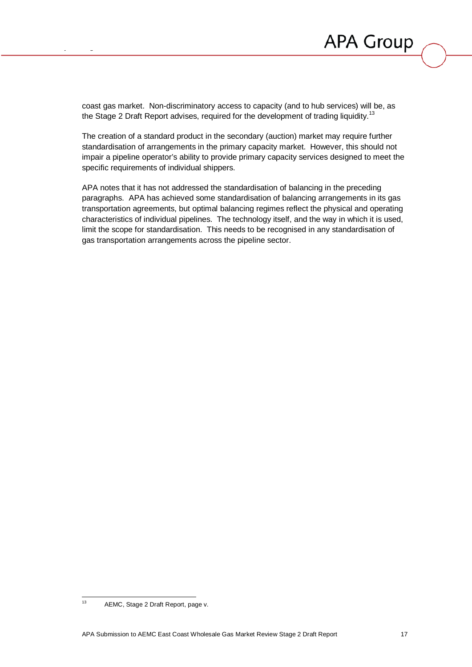coast gas market. Non-discriminatory access to capacity (and to hub services) will be, as the Stage 2 Draft Report advises, required for the development of trading liquidity.<sup>[13](#page-19-0)</sup>

The creation of a standard product in the secondary (auction) market may require further standardisation of arrangements in the primary capacity market. However, this should not impair a pipeline operator's ability to provide primary capacity services designed to meet the specific requirements of individual shippers.

APA notes that it has not addressed the standardisation of balancing in the preceding paragraphs. APA has achieved some standardisation of balancing arrangements in its gas transportation agreements, but optimal balancing regimes reflect the physical and operating characteristics of individual pipelines. The technology itself, and the way in which it is used, limit the scope for standardisation. This needs to be recognised in any standardisation of gas transportation arrangements across the pipeline sector.

<span id="page-20-0"></span>13 AEMC, Stage 2 Draft Report, page v.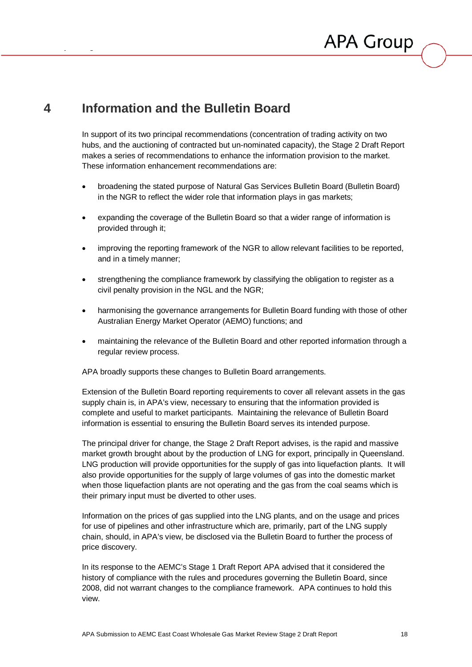## **4 Information and the Bulletin Board**

<span id="page-21-0"></span>In support of its two principal recommendations (concentration of trading activity on two hubs, and the auctioning of contracted but un-nominated capacity), the Stage 2 Draft Report makes a series of recommendations to enhance the information provision to the market. These information enhancement recommendations are:

- broadening the stated purpose of Natural Gas Services Bulletin Board (Bulletin Board) in the NGR to reflect the wider role that information plays in gas markets;
- expanding the coverage of the Bulletin Board so that a wider range of information is provided through it;
- improving the reporting framework of the NGR to allow relevant facilities to be reported, and in a timely manner;
- strengthening the compliance framework by classifying the obligation to register as a civil penalty provision in the NGL and the NGR;
- harmonising the governance arrangements for Bulletin Board funding with those of other Australian Energy Market Operator (AEMO) functions; and
- maintaining the relevance of the Bulletin Board and other reported information through a regular review process.

APA broadly supports these changes to Bulletin Board arrangements.

Extension of the Bulletin Board reporting requirements to cover all relevant assets in the gas supply chain is, in APA's view, necessary to ensuring that the information provided is complete and useful to market participants. Maintaining the relevance of Bulletin Board information is essential to ensuring the Bulletin Board serves its intended purpose.

The principal driver for change, the Stage 2 Draft Report advises, is the rapid and massive market growth brought about by the production of LNG for export, principally in Queensland. LNG production will provide opportunities for the supply of gas into liquefaction plants. It will also provide opportunities for the supply of large volumes of gas into the domestic market when those liquefaction plants are not operating and the gas from the coal seams which is their primary input must be diverted to other uses.

Information on the prices of gas supplied into the LNG plants, and on the usage and prices for use of pipelines and other infrastructure which are, primarily, part of the LNG supply chain, should, in APA's view, be disclosed via the Bulletin Board to further the process of price discovery.

In its response to the AEMC's Stage 1 Draft Report APA advised that it considered the history of compliance with the rules and procedures governing the Bulletin Board, since 2008, did not warrant changes to the compliance framework. APA continues to hold this view.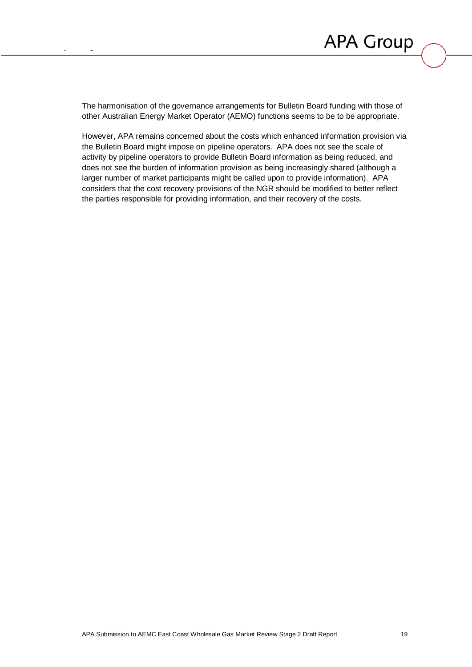The harmonisation of the governance arrangements for Bulletin Board funding with those of other Australian Energy Market Operator (AEMO) functions seems to be to be appropriate.

However, APA remains concerned about the costs which enhanced information provision via the Bulletin Board might impose on pipeline operators. APA does not see the scale of activity by pipeline operators to provide Bulletin Board information as being reduced, and does not see the burden of information provision as being increasingly shared (although a larger number of market participants might be called upon to provide information). APA considers that the cost recovery provisions of the NGR should be modified to better reflect the parties responsible for providing information, and their recovery of the costs.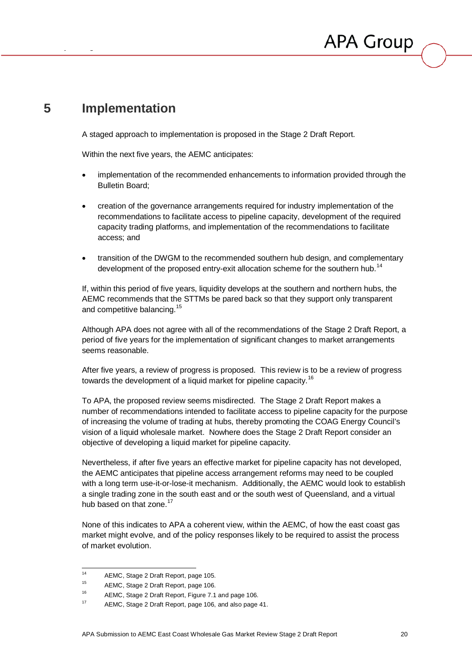## **5 Implementation**

<span id="page-23-0"></span>A staged approach to implementation is proposed in the Stage 2 Draft Report.

Within the next five years, the AEMC anticipates:

- implementation of the recommended enhancements to information provided through the Bulletin Board;
- creation of the governance arrangements required for industry implementation of the recommendations to facilitate access to pipeline capacity, development of the required capacity trading platforms, and implementation of the recommendations to facilitate access; and
- transition of the DWGM to the recommended southern hub design, and complementary development of the proposed entry-exit allocation scheme for the southern hub.<sup>[14](#page-20-0)</sup>

If, within this period of five years, liquidity develops at the southern and northern hubs, the AEMC recommends that the STTMs be pared back so that they support only transparent and competitive balancing.<sup>[15](#page-23-1)</sup>

Although APA does not agree with all of the recommendations of the Stage 2 Draft Report, a period of five years for the implementation of significant changes to market arrangements seems reasonable.

After five years, a review of progress is proposed. This review is to be a review of progress towards the development of a liquid market for pipeline capacity.<sup>[16](#page-23-2)</sup>

To APA, the proposed review seems misdirected. The Stage 2 Draft Report makes a number of recommendations intended to facilitate access to pipeline capacity for the purpose of increasing the volume of trading at hubs, thereby promoting the COAG Energy Council's vision of a liquid wholesale market. Nowhere does the Stage 2 Draft Report consider an objective of developing a liquid market for pipeline capacity.

Nevertheless, if after five years an effective market for pipeline capacity has not developed, the AEMC anticipates that pipeline access arrangement reforms may need to be coupled with a long term use-it-or-lose-it mechanism. Additionally, the AEMC would look to establish a single trading zone in the south east and or the south west of Queensland, and a virtual hub based on that zone.<sup>[17](#page-23-3)</sup>

None of this indicates to APA a coherent view, within the AEMC, of how the east coast gas market might evolve, and of the policy responses likely to be required to assist the process of market evolution.

 <sup>14</sup> AEMC, Stage 2 Draft Report, page 105.

<span id="page-23-1"></span><sup>15</sup> AEMC, Stage 2 Draft Report, page 106.

<sup>16</sup> AEMC, Stage 2 Draft Report, Figure 7.1 and page 106.

<span id="page-23-3"></span><span id="page-23-2"></span><sup>17</sup> AEMC, Stage 2 Draft Report, page 106, and also page 41.